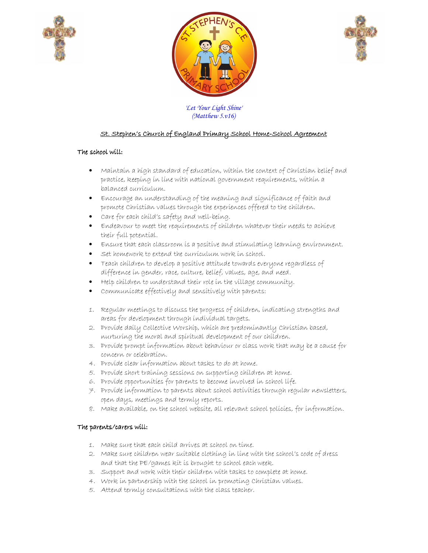





*'Let Your Light Shine' (Matthew 5.v16)*

# St. Stephen's Church of England Primary School Home-School Agreement

### The school will:

- Maintain a high standard of education, within the context of Christian belief and practice, keeping in line with national government requirements, within a balanced curriculum.
- Encourage an understanding of the meaning and significance of faith and promote Christian values through the experiences offered to the children.
- Care for each child's safety and well-being.
- Endeavour to meet the requirements of children whatever their needs to achieve their full potential.
- Ensure that each classroom is a positive and stimulating learning environment.
- Set homework to extend the curriculum work in school.
- Teach children to develop a positive attitude towards everyone regardless of difference in gender, race, culture, belief, values, age, and need.
- Help children to understand their role in the village community.
- Communicate effectively and sensitively with parents:
- 1. Regular meetings to discuss the progress of children, indicating strengths and areas for development through individual targets.
- 2. Provide daily Collective Worship, which are predominantly Christian based, nurturing the moral and spiritual development of our children.
- 3. Provide prompt information about behaviour or class work that may be a cause for concern or celebration.
- 4. Provide clear information about tasks to do at home.
- 5. Provide short training sessions on supporting children at home.
- 6. Provide opportunities for parents to become involved in school life.
- 7. Provide information to parents about school activities through regular newsletters, open days, meetings and termly reports.
- 8. Make available, on the school website, all relevant school policies, for information.

## The parents/carers will:

- 1. Make sure that each child arrives at school on time.
- 2. Make sure children wear suitable clothing in line with the school's code of dress and that the PE/games kit is brought to school each week.
- 3. Support and work with their children with tasks to complete at home.
- 4. Work in partnership with the school in promoting Christian values.
- 5. Attend termly consultations with the class teacher.